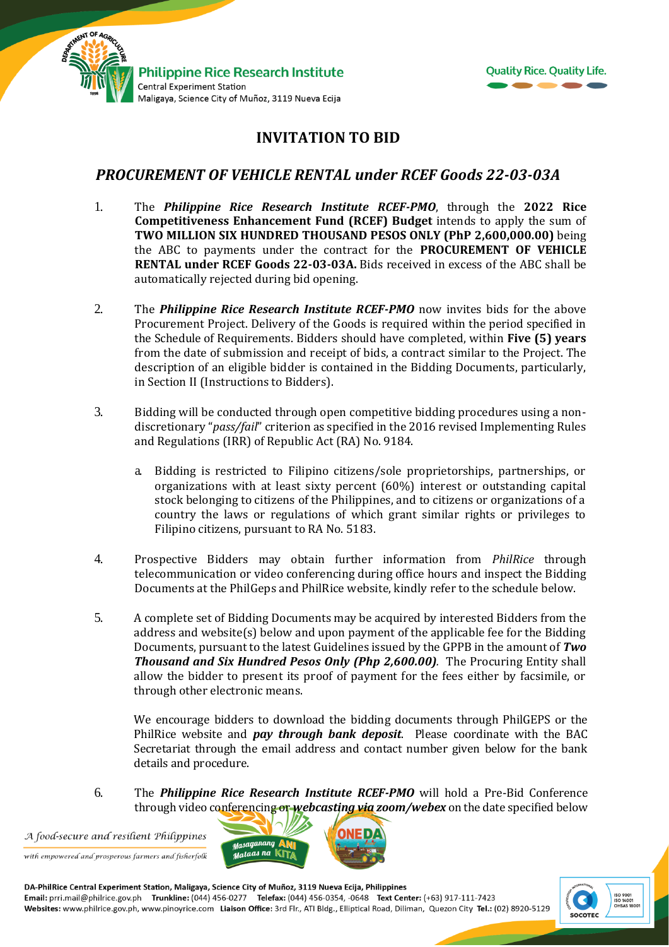



## **INVITATION TO BID**

## *PROCUREMENT OF VEHICLE RENTAL under RCEF Goods 22-03-03A*

- 1. The *Philippine Rice Research Institute RCEF-PMO*, through the **2022 Rice Competitiveness Enhancement Fund (RCEF) Budget** intends to apply the sum of **TWO MILLION SIX HUNDRED THOUSAND PESOS ONLY (PhP 2,600,000.00)** being the ABC to payments under the contract for the **PROCUREMENT OF VEHICLE RENTAL under RCEF Goods 22-03-03A.** Bids received in excess of the ABC shall be automatically rejected during bid opening.
- 2. The *Philippine Rice Research Institute RCEF-PMO* now invites bids for the above Procurement Project. Delivery of the Goods is required within the period specified in the Schedule of Requirements. Bidders should have completed, within **Five (5) years** from the date of submission and receipt of bids, a contract similar to the Project. The description of an eligible bidder is contained in the Bidding Documents, particularly, in Section II (Instructions to Bidders).
- 3. Bidding will be conducted through open competitive bidding procedures using a nondiscretionary "*pass/fail*" criterion as specified in the 2016 revised Implementing Rules and Regulations (IRR) of Republic Act (RA) No. 9184.
	- a. Bidding is restricted to Filipino citizens/sole proprietorships, partnerships, or organizations with at least sixty percent (60%) interest or outstanding capital stock belonging to citizens of the Philippines, and to citizens or organizations of a country the laws or regulations of which grant similar rights or privileges to Filipino citizens, pursuant to RA No. 5183.
- 4. Prospective Bidders may obtain further information from *PhilRice* through telecommunication or video conferencing during office hours and inspect the Bidding Documents at the PhilGeps and PhilRice website, kindly refer to the schedule below.
- 5. A complete set of Bidding Documents may be acquired by interested Bidders from the address and website(s) below and upon payment of the applicable fee for the Bidding Documents, pursuant to the latest Guidelines issued by the GPPB in the amount of *Two Thousand and Six Hundred Pesos Only (Php 2,600.00).* The Procuring Entity shall allow the bidder to present its proof of payment for the fees either by facsimile, or through other electronic means.

We encourage bidders to download the bidding documents through PhilGEPS or the PhilRice website and *pay through bank deposit*. Please coordinate with the BAC Secretariat through the email address and contact number given below for the bank details and procedure.

6. The *Philippine Rice Research Institute RCEF-PMO* will hold a Pre-Bid Conference through video conferencing or *webcasting via zoom/webex* on the date specified below

A food-secure and resilient Philippines with empowered and prosperous farmers and fisherfolk



DA-PhilRice Central Experiment Station, Maligaya, Science City of Muñoz, 3119 Nueva Ecija, Philippines Email: prri.mail@philrice.gov.ph Trunkline: (044) 456-0277 Telefax: (044) 456-0354, -0648 Text Center: (+63) 917-111-7423<br>Websites: www.philrice.gov.ph, www.pinoyrice.com Liaison Office: 3rd Flr., ATI Bldg., Elliptical Roa

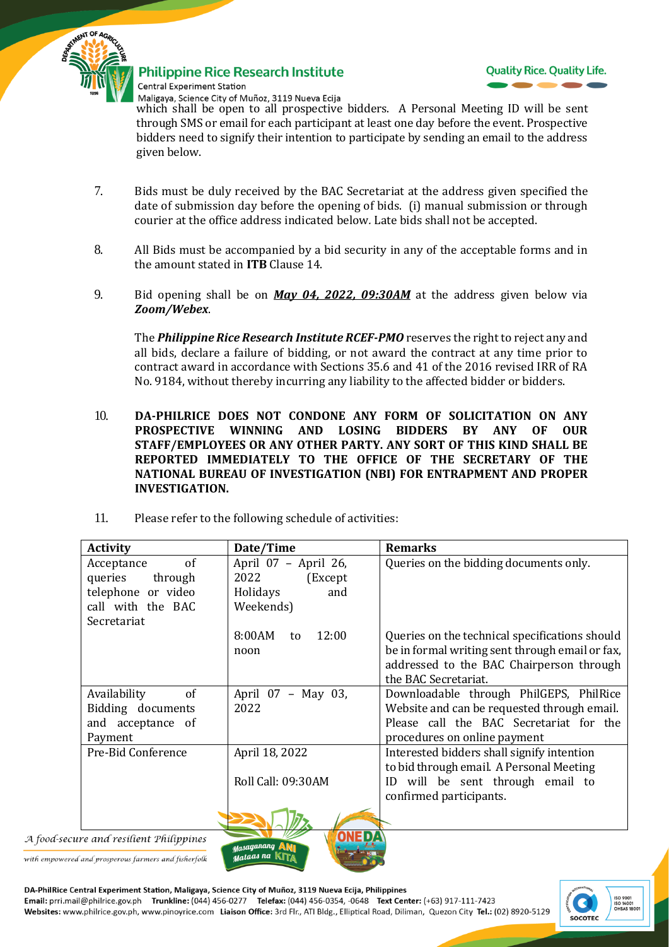

**Philippine Rice Research Institute** Central Experiment Station



Maligaya, Science City of Muñoz, 3119 Nueva Ecija which shall be open to all prospective bidders. A Personal Meeting ID will be sent through SMS or email for each participant at least one day before the event. Prospective bidders need to signify their intention to participate by sending an email to the address given below.

- 7. Bids must be duly received by the BAC Secretariat at the address given specified the date of submission day before the opening of bids. (i) manual submission or through courier at the office address indicated below*.* Late bids shall not be accepted.
- 8. All Bids must be accompanied by a bid security in any of the acceptable forms and in the amount stated in **ITB** Clause 14.
- 9. Bid opening shall be on *May 04, 2022, 09:30AM* at the address given below via *Zoom/Webex*.

The *Philippine Rice Research Institute RCEF-PMO* reserves the right to reject any and all bids, declare a failure of bidding, or not award the contract at any time prior to contract award in accordance with Sections 35.6 and 41 of the 2016 revised IRR of RA No. 9184, without thereby incurring any liability to the affected bidder or bidders.

- 10. **DA-PHILRICE DOES NOT CONDONE ANY FORM OF SOLICITATION ON ANY PROSPECTIVE WINNING AND LOSING BIDDERS BY ANY OF OUR STAFF/EMPLOYEES OR ANY OTHER PARTY. ANY SORT OF THIS KIND SHALL BE REPORTED IMMEDIATELY TO THE OFFICE OF THE SECRETARY OF THE NATIONAL BUREAU OF INVESTIGATION (NBI) FOR ENTRAPMENT AND PROPER INVESTIGATION.**
- 11. Please refer to the following schedule of activities:

| <b>Activity</b>    | Date/Time             | <b>Remarks</b>                                  |
|--------------------|-----------------------|-------------------------------------------------|
| of<br>Acceptance   | April 07 - April 26,  | Queries on the bidding documents only.          |
| queries<br>through | 2022<br>(Except       |                                                 |
| telephone or video | Holidays<br>and       |                                                 |
| call with the BAC  | Weekends)             |                                                 |
| Secretariat        |                       |                                                 |
|                    | 8:00AM<br>12:00<br>to | Queries on the technical specifications should  |
|                    | noon                  | be in formal writing sent through email or fax, |
|                    |                       | addressed to the BAC Chairperson through        |
|                    |                       | the BAC Secretariat.                            |
| of<br>Availability | April 07 - May 03,    | Downloadable through PhilGEPS, PhilRice         |
| Bidding documents  | 2022                  | Website and can be requested through email.     |
| and acceptance of  |                       | Please call the BAC Secretariat for the         |
| Payment            |                       | procedures on online payment                    |
| Pre-Bid Conference | April 18, 2022        | Interested bidders shall signify intention      |
|                    |                       | to bid through email. A Personal Meeting        |
|                    | Roll Call: 09:30AM    | ID will be sent through email to                |
|                    |                       | confirmed participants.                         |
|                    | <b>ANER</b>           |                                                 |

A food-secure and resilient Philippines

with empowered and prosperous farmers and fisherfolk

DA-PhilRice Central Experiment Station, Maligaya, Science City of Muñoz, 3119 Nueva Ecija, Philippines Email: prri.mail@philrice.gov.ph Trunkline: (044) 456-0277 Telefax: (044) 456-0354, -0648 Text Center: (+63) 917-111-7423<br>Websites: www.philrice.gov.ph, www.pinoyrice.com Liaison Office: 3rd Flr., ATI Bldg., Elliptical Roa

asaaanang uataas na K